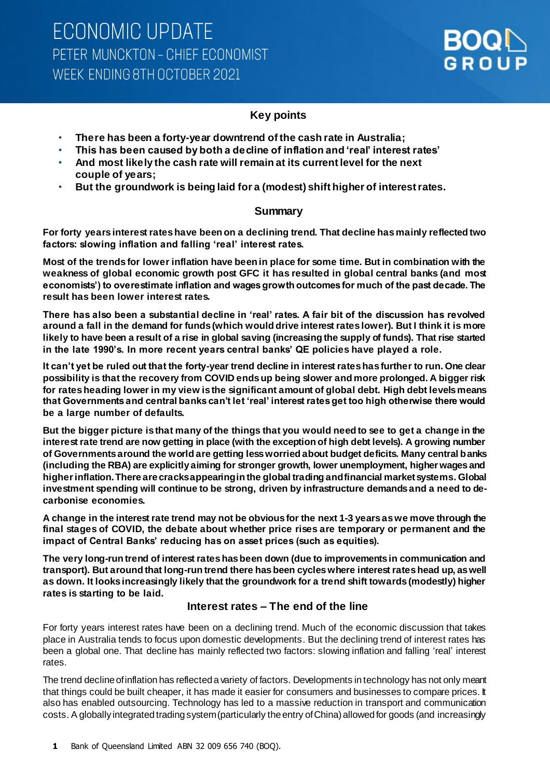### **Key points**

- **There has been a forty-year downtrend of the cash rate in Australia;**
- **This has been caused by both a decline of inflation and 'real' interest rates'**
- **And most likely the cash rate will remain at its current level for the next couple of years;**
- **But the groundwork is being laid for a (modest) shift higher of interest rates.**

### **Summary**

**For forty years interest rates have been on a declining trend. That decline has mainly reflected two factors: slowing inflation and falling 'real' interest rates.**

**Most of the trends for lower inflation have been in place for some time. But in combination with the weakness of global economic growth post GFC it has resulted in global central banks (and most economists') to overestimate inflation and wages growth outcomes for much of the past decade. The result has been lower interest rates.**

**There has also been a substantial decline in 'real' rates. A fair bit of the discussion has revolved around a fall in the demand for funds (which would drive interest rates lower). But I think it is more likely to have been a result of a rise in global saving (increasing the supply of funds). That rise started in the late 1990's. In more recent years central banks' QE policies have played a role.**

**It can't yet be ruled out that the forty-year trend decline in interest rates has further to run. One clear possibility is that the recovery from COVID ends up being slower and more prolonged. A bigger risk for rates heading lower in my view is the significant amount of global debt. High debt levels means that Governments and central banks can't let 'real' interest rates get too high otherwise there would be a large number of defaults.** 

**But the bigger picture is that many of the things that you would need to see to get a change in the interest rate trend are now getting in place (with the exception of high debt levels). A growing number of Governments around the world are getting less worried about budget deficits. Many central banks (including the RBA) are explicitly aiming for stronger growth, lower unemployment, higher wages and higher inflation. There are cracks appearing in the global trading and financial market systems. Global investment spending will continue to be strong, driven by infrastructure demands and a need to decarbonise economies.**

**A change in the interest rate trend may not be obvious for the next 1-3 years as we move through the final stages of COVID, the debate about whether price rises are temporary or permanent and the impact of Central Banks' reducing has on asset prices (such as equities).** 

**The very long-run trend of interest rates has been down (due to improvements in communication and transport). But around that long-run trend there has been cycles where interest rates head up, as well as down. It looks increasingly likely that the groundwork for a trend shift towards (modestly) higher rates is starting to be laid.**

### **Interest rates – The end of the line**

For forty years interest rates have been on a declining trend. Much of the economic discussion that takes place in Australia tends to focus upon domestic developments. But the declining trend of interest rates has been a global one. That decline has mainly reflected two factors: slowing inflation and falling 'real' interest rates.

The trend decline of inflation has reflected a variety of factors. Developments in technology has not only meant that things could be built cheaper, it has made it easier for consumers and businesses to compare prices. It also has enabled outsourcing. Technology has led to a massive reduction in transport and communication costs. A globallyintegrated trading system (particularly the entry of China) allowed for goods (and increasingly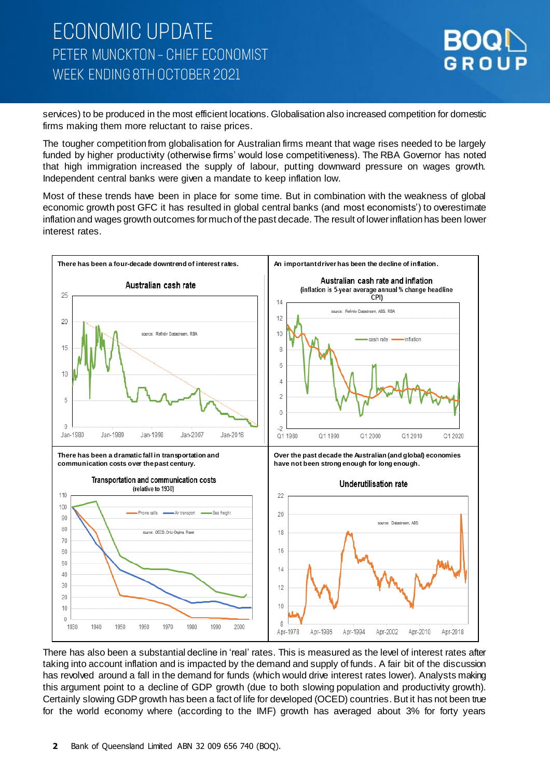

services) to be produced in the most efficient locations. Globalisation also increased competition for domestic firms making them more reluctant to raise prices.

The tougher competition from globalisation for Australian firms meant that wage rises needed to be largely funded by higher productivity (otherwise firms' would lose competitiveness). The RBA Governor has noted that high immigration increased the supply of labour, putting downward pressure on wages growth. Independent central banks were given a mandate to keep inflation low.

Most of these trends have been in place for some time. But in combination with the weakness of global economic growth post GFC it has resulted in global central banks (and most economists') to overestimate inflation and wages growth outcomes for much of the past decade. The result of lower inflation has been lower interest rates.



There has also been a substantial decline in 'real' rates. This is measured as the level of interest rates after taking into account inflation and is impacted by the demand and supply of funds. A fair bit of the discussion has revolved around a fall in the demand for funds (which would drive interest rates lower). Analysts making this argument point to a decline of GDP growth (due to both slowing population and productivity growth). Certainly slowing GDP growth has been a fact of life for developed (OCED) countries. But it has not been true for the world economy where (according to the IMF) growth has averaged about 3% for forty years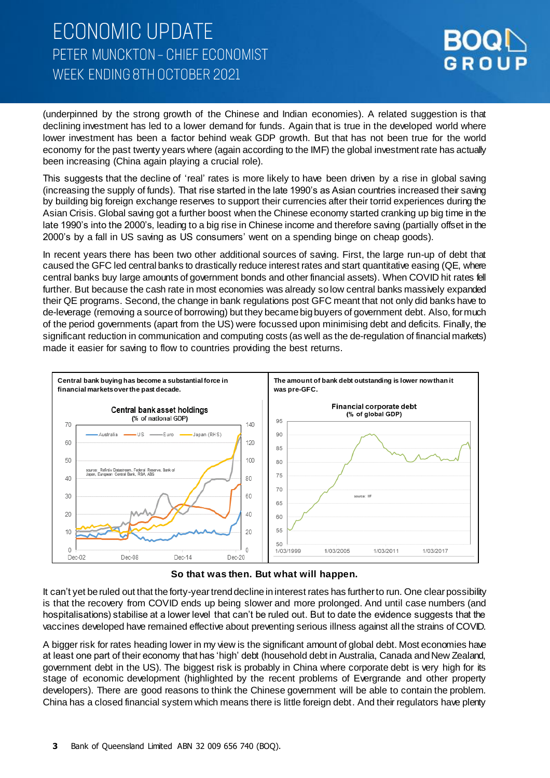

(underpinned by the strong growth of the Chinese and Indian economies). A related suggestion is that declining investment has led to a lower demand for funds. Again that is true in the developed world where lower investment has been a factor behind weak GDP growth. But that has not been true for the world economy for the past twenty years where (again according to the IMF) the global investment rate has actually been increasing (China again playing a crucial role).

This suggests that the decline of 'real' rates is more likely to have been driven by a rise in global saving (increasing the supply of funds). That rise started in the late 1990's as Asian countries increased their saving by building big foreign exchange reserves to support their currencies after their torrid experiences during the Asian Crisis. Global saving got a further boost when the Chinese economy started cranking up big time in the late 1990's into the 2000's, leading to a big rise in Chinese income and therefore saving (partially offset in the 2000's by a fall in US saving as US consumers' went on a spending binge on cheap goods).

In recent years there has been two other additional sources of saving. First, the large run-up of debt that caused the GFC led central banks to drastically reduce interest rates and start quantitative easing (QE, where central banks buy large amounts of government bonds and other financial assets). When COVID hit rates fell further. But because the cash rate in most economies was already so low central banks massively expanded their QE programs. Second, the change in bank regulations post GFC meant that not only did banks have to de-leverage (removing a source of borrowing) but they became big buyers of government debt. Also, for much of the period governments (apart from the US) were focussed upon minimising debt and deficits. Finally, the significant reduction in communication and computing costs (as well as the de-regulation of financial markets) made it easier for saving to flow to countries providing the best returns.



**So that was then. But what will happen.**

It can't yet be ruled out that the forty-year trend decline in interest rates has further to run. One clear possibility is that the recovery from COVID ends up being slower and more prolonged. And until case numbers (and hospitalisations) stabilise at a lower level that can't be ruled out. But to date the evidence suggests that the vaccines developed have remained effective about preventing serious illness against all the strains of COVID.

A bigger risk for rates heading lower in my view is the significant amount of global debt. Most economies have at least one part of their economy that has 'high' debt (household debt in Australia, Canada and New Zealand, government debt in the US). The biggest risk is probably in China where corporate debt is very high for its stage of economic development (highlighted by the recent problems of Evergrande and other property developers). There are good reasons to think the Chinese government will be able to contain the problem. China has a closed financial system which means there is little foreign debt. And their regulators have plenty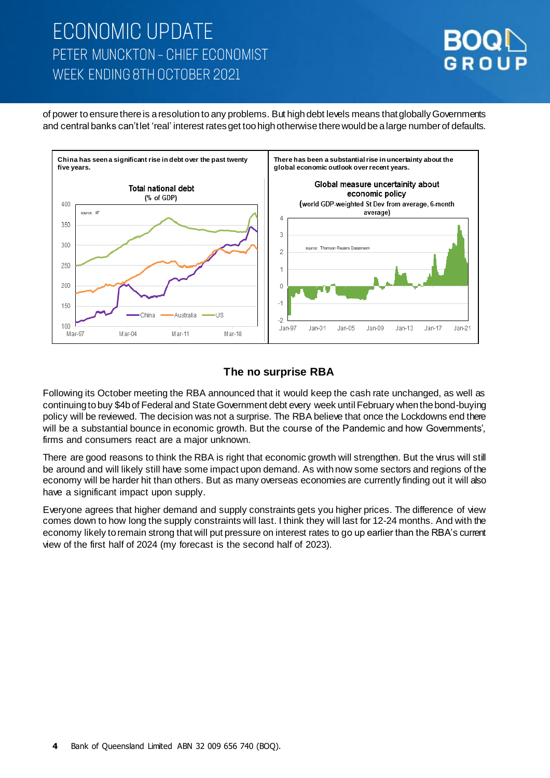

of power to ensure there is a resolution to any problems. But high debt levels means that globally Governments and central banks can't let 'real' interest rates get too high otherwise there would be a large numberof defaults.



### **The no surprise RBA**

Following its October meeting the RBA announced that it would keep the cash rate unchanged, as well as continuing to buy \$4b of Federal and State Government debt every week until February when the bond-buying policy will be reviewed. The decision was not a surprise. The RBA believe that once the Lockdowns end there will be a substantial bounce in economic growth. But the course of the Pandemic and how Governments', firms and consumers react are a major unknown.

There are good reasons to think the RBA is right that economic growth will strengthen. But the virus will still be around and will likely still have some impact upon demand. As with now some sectors and regions of the economy will be harder hit than others. But as many overseas economies are currently finding out it will also have a significant impact upon supply.

Everyone agrees that higher demand and supply constraints gets you higher prices. The difference of view comes down to how long the supply constraints will last. I think they will last for 12-24 months. And with the economy likely to remain strong that will put pressure on interest rates to go up earlier than the RBA's current view of the first half of 2024 (my forecast is the second half of 2023).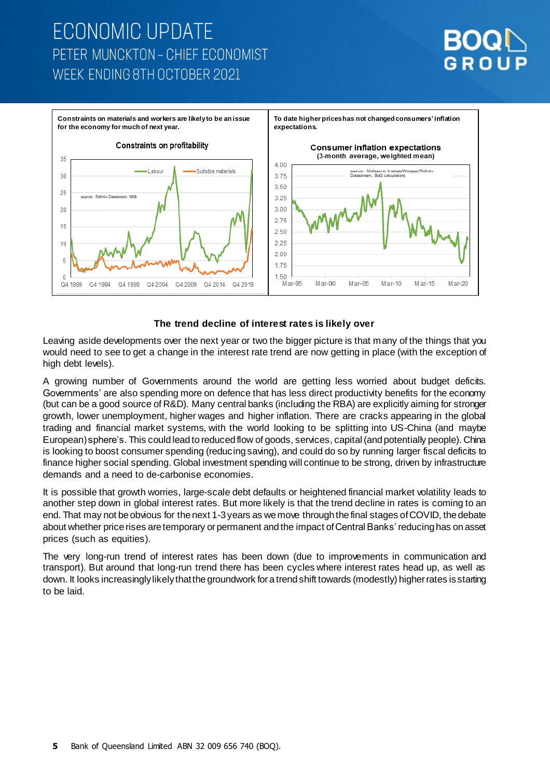



#### **The trend decline of interest rates is likely over**

Leaving aside developments over the next year or two the bigger picture is that many of the things that you would need to see to get a change in the interest rate trend are now getting in place (with the exception of high debt levels).

A growing number of Governments around the world are getting less worried about budget deficits. Governments' are also spending more on defence that has less direct productivity benefits for the economy (but can be a good source of R&D). Many central banks (including the RBA) are explicitly aiming for stronger growth, lower unemployment, higher wages and higher inflation. There are cracks appearing in the global trading and financial market systems, with the world looking to be splitting into US-China (and maybe European) sphere's. This could lead to reducedflow of goods, services, capital (and potentially people). China is looking to boost consumer spending (reducing saving), and could do so by running larger fiscal deficits to finance higher social spending. Global investment spending will continue to be strong, driven by infrastructure demands and a need to de-carbonise economies.

It is possible that growth worries, large-scale debt defaults or heightened financial market volatility leads to another step down in global interest rates. But more likely is that the trend decline in rates is coming to an end. That may not be obvious for the next 1-3 years as we move through the final stages of COVID, the debate about whether price rises are temporary or permanent and the impact of Central Banks' reducing has on asset prices (such as equities).

The very long-run trend of interest rates has been down (due to improvements in communication and transport). But around that long-run trend there has been cycles where interest rates head up, as well as down. It looks increasingly likelythat the groundwork for a trend shift towards (modestly) higher rates is starting to be laid.